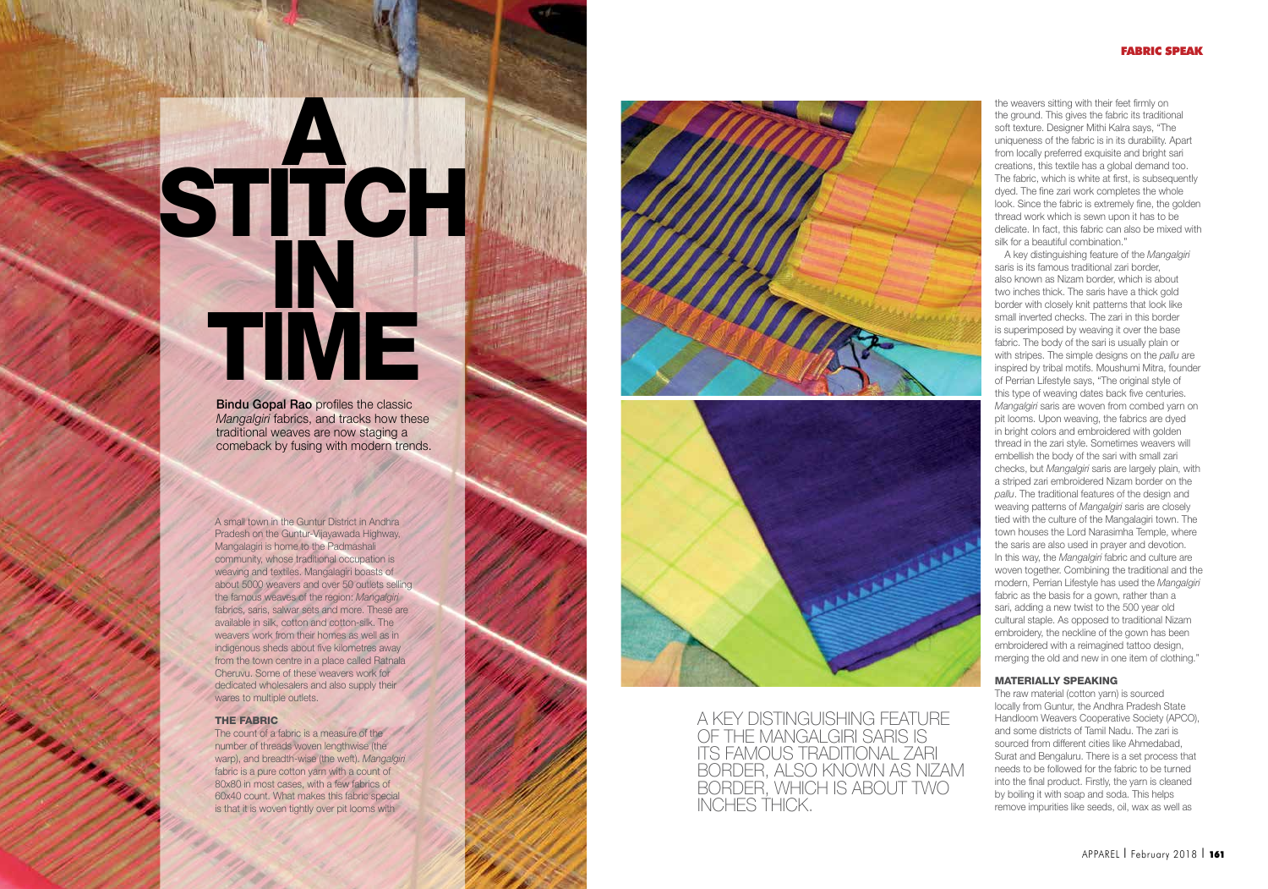# A STITCH<sup>®</sup> IN TIME

**Bindu Gopal Rao profiles the classic** Mangalgiri fabrics, and tracks how these traditional weaves are now staging a comeback by fusing with modern trends.

A small town in the Guntur District in Andhra Pradesh on the Guntur-Vijayawada Highway, Mangalagiri is home to the Padmashali community, whose traditional occupation is weaving and textiles. Mangalagiri boasts of about 5000 weavers and over 50 outlets selling the famous weaves of the region: Mangalgiri fabrics, saris, salwar sets and more. These are available in silk, cotton and cotton-silk. The weavers work from their homes as well as in indigenous sheds about five kilometres away from the town centre in a place called Ratnala Cheruvu. Some of these weavers work for dedicated wholesalers and also supply their wares to multiple outlets.

#### THE FABRIC

I APPAREL

The count of a fabric is a measure of the number of threads woven lengthwise (the warp), and breadth-wise (the weft). Mangalgiri fabric is a pure cotton yarn with a count of 80x80 in most cases, with a few fabrics of 60x40 count. What makes this fabric special is that it is woven tightly over pit looms with



A KEY DISTINGUISHING FEATURE OF THE MANGALGIRI SARIS IS ITS FAMOUS TRADITIONAL ZARI BORDER, ALSO KNOWN AS NIZAM BORDER, WHICH IS ABOUT TWO INCHES THICK.

the weavers sitting with their feet firmly on the ground. This gives the fabric its traditional soft texture. Designer Mithi Kalra says, "The uniqueness of the fabric is in its durability. Apart from locally preferred exquisite and bright sari creations, this textile has a global demand too. The fabric, which is white at first, is subsequently dyed. The fine zari work completes the whole look. Since the fabric is extremely fine, the golden thread work which is sewn upon it has to be delicate. In fact, this fabric can also be mixed with silk for a beautiful combination."

A key distinguishing feature of the Mangalgiri saris is its famous traditional zari border, also known as Nizam border, which is about two inches thick. The saris have a thick gold border with closely knit patterns that look like small inverted checks. The zari in this border is superimposed by weaving it over the base fabric. The body of the sari is usually plain or with stripes. The simple designs on the pally are inspired by tribal motifs. Moushumi Mitra, founder of Perrian Lifestyle says, "The original style of this type of weaving dates back five centuries. Mangalgiri saris are woven from combed yarn on pit looms. Upon weaving, the fabrics are dyed in bright colors and embroidered with golden thread in the zari style. Sometimes weavers will embellish the body of the sari with small zari checks, but Mangalgiri saris are largely plain, with a striped zari embroidered Nizam border on the pallu. The traditional features of the design and weaving patterns of Mangalgiri saris are closely tied with the culture of the Mangalagiri town. The town houses the Lord Narasimha Temple, where the saris are also used in prayer and devotion. In this way, the Mangalgiri fabric and culture are woven together. Combining the traditional and the modern, Perrian Lifestyle has used the Mangalgiri fabric as the basis for a gown, rather than a sari, adding a new twist to the 500 year old cultural staple. As opposed to traditional Nizam embroidery, the neckline of the gown has been embroidered with a reimagined tattoo design, merging the old and new in one item of clothing."

## MATERIALLY SPEAKING

The raw material (cotton yarn) is sourced locally from Guntur, the Andhra Pradesh State Handloom Weavers Cooperative Society (APCO), and some districts of Tamil Nadu. The zari is sourced from different cities like Ahmedabad, Surat and Bengaluru. There is a set process that needs to be followed for the fabric to be turned into the final product. Firstly, the yarn is cleaned by boiling it with soap and soda. This helps remove impurities like seeds, oil, wax as well as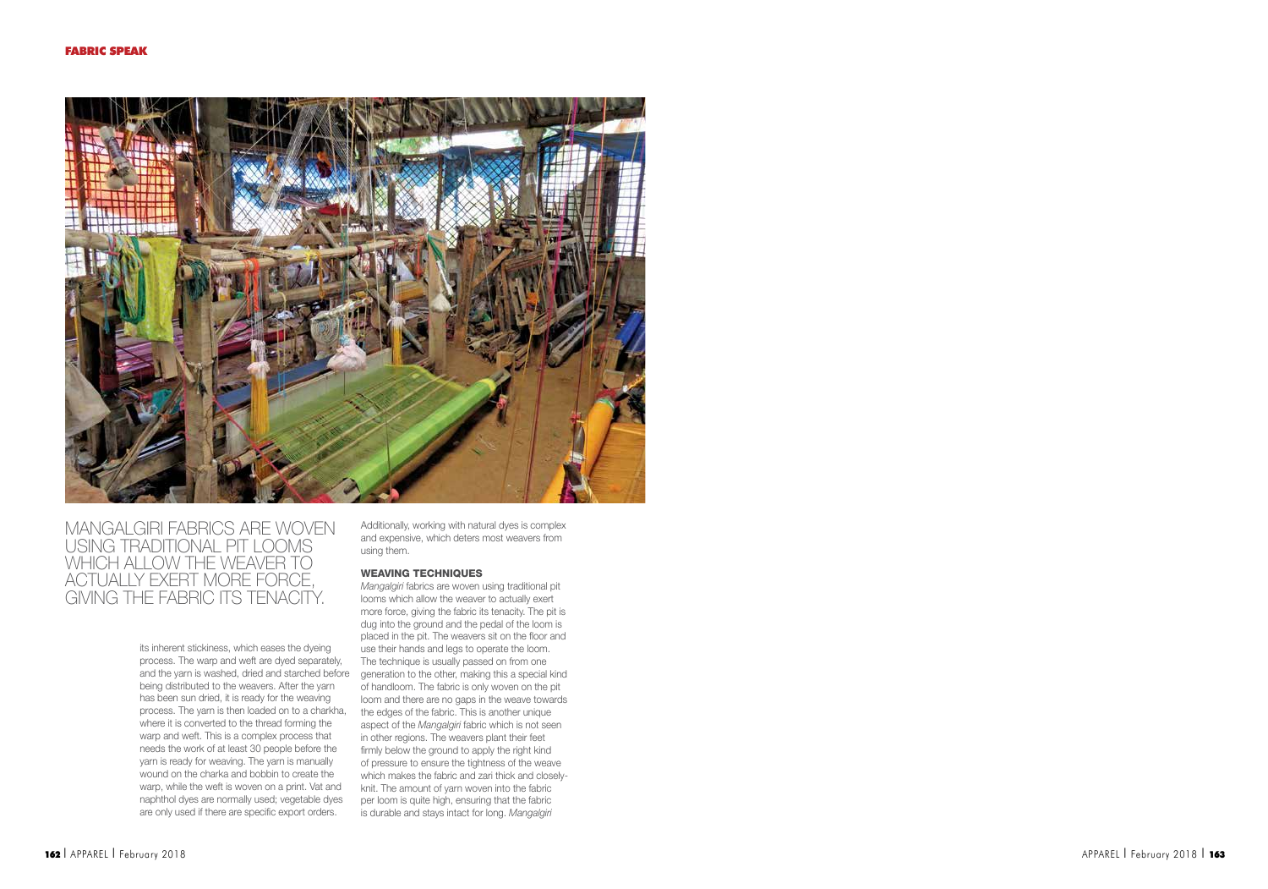

# MANGALGIRI FABRICS ARE WOVEN USING TRADITIONAL PIT LOOMS WHICH ALLOW THE WEAVER TO ACTUALLY EXERT MORE FORCE, GIVING THE FABRIC ITS TENACITY.

its inherent stickiness, which eases the dyeing process. The warp and weft are dyed separately, being distributed to the weavers. After the yarn has been sun dried, it is ready for the weaving process. The yarn is then loaded on to a charkha, the edges of the fabric. This is another unique where it is converted to the thread forming the warp and weft. This is a complex process that needs the work of at least 30 people before the yarn is ready for weaving. The yarn is manually wound on the charka and bobbin to create the warp, while the weft is woven on a print. Vat and naphthol dyes are normally used; vegetable dyes are only used if there are specific export orders.

Additionally, working with natural dyes is complex and expensive, which deters most weavers from using them.

### WEAVING TECHNIQUES

and the yarn is washed, dried and starched before generation to the other, making this a special kind Mangalgiri fabrics are woven using traditional pit looms which allow the weaver to actually exert more force, giving the fabric its tenacity. The pit is dug into the ground and the pedal of the loom is placed in the pit. The weavers sit on the floor and use their hands and legs to operate the loom. The technique is usually passed on from one of handloom. The fabric is only woven on the pit loom and there are no gaps in the weave towards aspect of the Mangalgiri fabric which is not seen in other regions. The weavers plant their feet firmly below the ground to apply the right kind of pressure to ensure the tightness of the weave which makes the fabric and zari thick and closelyknit. The amount of yarn woven into the fabric per loom is quite high, ensuring that the fabric is durable and stays intact for long. Mangalgiri